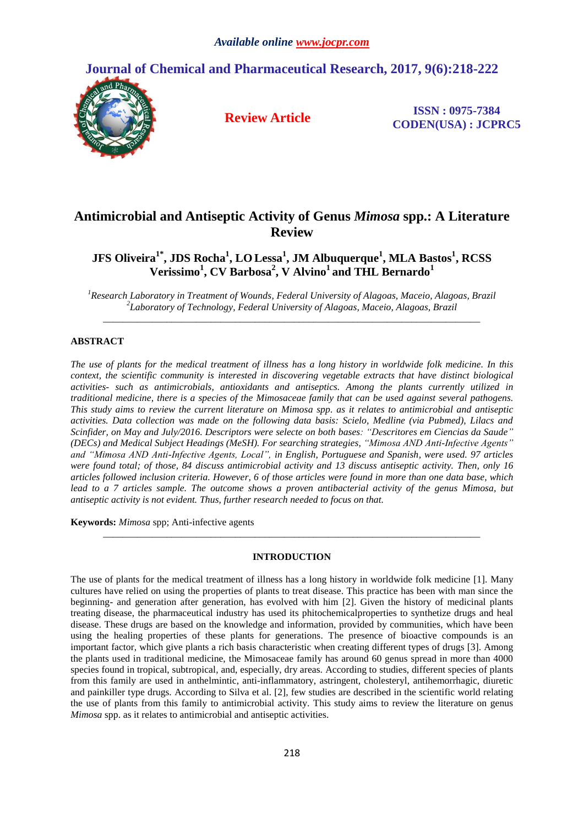

# **Antimicrobial and Antiseptic Activity of Genus** *Mimosa* **spp.: A Literature Review**

**JFS Oliveira1\* , JDS Rocha<sup>1</sup> , LO Lessa<sup>1</sup> , JM Albuquerque<sup>1</sup> , MLA Bastos<sup>1</sup> , RCSS Verissimo<sup>1</sup> , CV Barbosa<sup>2</sup> , V Alvino<sup>1</sup>and THL Bernardo<sup>1</sup>**

*<sup>1</sup>Research Laboratory in Treatment of Wounds, Federal University of Alagoas, Maceio, Alagoas, Brazil 2 Laboratory of Technology, Federal University of Alagoas, Maceio, Alagoas, Brazil \_\_\_\_\_\_\_\_\_\_\_\_\_\_\_\_\_\_\_\_\_\_\_\_\_\_\_\_\_\_\_\_\_\_\_\_\_\_\_\_\_\_\_\_\_\_\_\_\_\_\_\_\_\_\_\_\_\_\_\_\_\_\_\_\_\_\_\_\_\_\_\_\_\_\_\_\_*

## **ABSTRACT**

*The use of plants for the medical treatment of illness has a long history in worldwide folk medicine. In this context, the scientific community is interested in discovering vegetable extracts that have distinct biological activities- such as antimicrobials, antioxidants and antiseptics. Among the plants currently utilized in traditional medicine, there is a species of the Mimosaceae family that can be used against several pathogens. This study aims to review the current literature on Mimosa spp. as it relates to antimicrobial and antiseptic activities. Data collection was made on the following data basis: Scielo, Medline (via Pubmed), Lilacs and Scinfider, on May and July/2016. Descriptors were selecte on both bases: "Descritores em Ciencias da Saude" (DECs) and Medical Subject Headings (MeSH). For searching strategies, "Mimosa AND Anti-Infective Agents" and "Mimosa AND Anti-Infective Agents, Local", in English, Portuguese and Spanish, were used. 97 articles were found total; of those, 84 discuss antimicrobial activity and 13 discuss antiseptic activity. Then, only 16 articles followed inclusion criteria. However, 6 of those articles were found in more than one data base, which lead to a 7 articles sample. The outcome shows a proven antibacterial activity of the genus Mimosa, but antiseptic activity is not evident. Thus, further research needed to focus on that.*

**Keywords:** *Mimosa* spp; Anti-infective agents

## **INTRODUCTION**

*\_\_\_\_\_\_\_\_\_\_\_\_\_\_\_\_\_\_\_\_\_\_\_\_\_\_\_\_\_\_\_\_\_\_\_\_\_\_\_\_\_\_\_\_\_\_\_\_\_\_\_\_\_\_\_\_\_\_\_\_\_\_\_\_\_\_\_\_\_\_\_\_\_\_\_\_\_*

The use of plants for the medical treatment of illness has a long history in worldwide folk medicine [1]. Many cultures have relied on using the properties of plants to treat disease. This practice has been with man since the beginning- and generation after generation, has evolved with him [2]. Given the history of medicinal plants treating disease, the pharmaceutical industry has used its phitochemicalproperties to synthetize drugs and heal disease. These drugs are based on the knowledge and information, provided by communities, which have been using the healing properties of these plants for generations. The presence of bioactive compounds is an important factor, which give plants a rich basis characteristic when creating different types of drugs [3]. Among the plants used in traditional medicine, the Mimosaceae family has around 60 genus spread in more than 4000 species found in tropical, subtropical, and, especially, dry areas. According to studies, different species of plants from this family are used in anthelmintic, anti-inflammatory, astringent, cholesteryl, antihemorrhagic, diuretic and painkiller type drugs. According to Silva et al. [2], few studies are described in the scientific world relating the use of plants from this family to antimicrobial activity. This study aims to review the literature on genus *Mimosa* spp. as it relates to antimicrobial and antiseptic activities.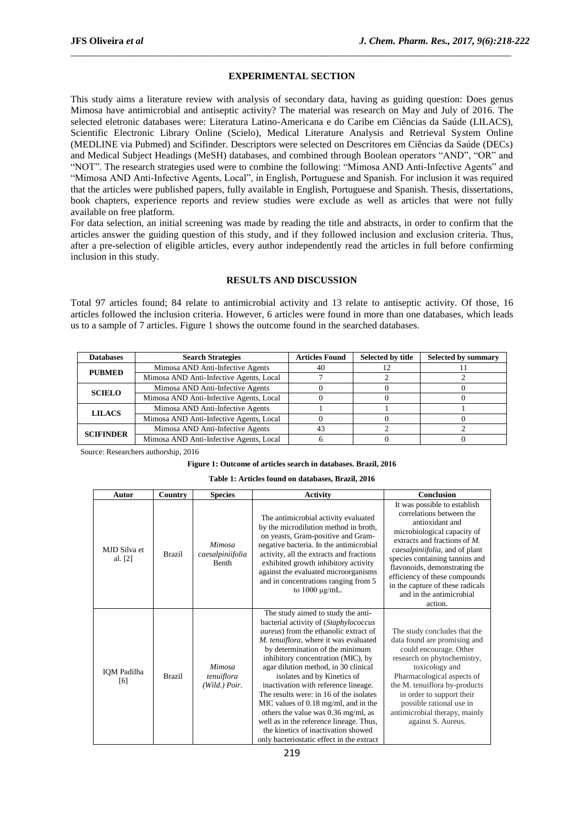#### **EXPERIMENTAL SECTION**

\_\_\_\_\_\_\_\_\_\_\_\_\_\_\_\_\_\_\_\_\_\_\_\_\_\_\_\_\_\_\_\_\_\_\_\_\_\_\_\_\_\_\_\_\_\_\_\_\_\_\_\_\_\_\_\_\_\_\_\_\_\_\_\_\_\_\_\_\_\_\_\_\_\_\_\_\_\_\_\_\_\_\_\_\_\_\_\_\_\_

This study aims a literature review with analysis of secondary data, having as guiding question: Does genus Mimosa have antimicrobial and antiseptic activity? The material was research on May and July of 2016. The selected eletronic databases were: Literatura Latino-Americana e do Caribe em Ciências da Saúde (LILACS), Scientific Electronic Library Online (Scielo), Medical Literature Analysis and Retrieval System Online (MEDLINE via Pubmed) and Scifinder. Descriptors were selected on Descritores em Ciências da Saúde (DECs) and Medical Subject Headings (MeSH) databases, and combined through Boolean operators "AND", "OR" and "NOT". The research strategies used were to combine the following: "Mimosa AND Anti-Infective Agents" and "Mimosa AND Anti-Infective Agents, Local", in English, Portuguese and Spanish. For inclusion it was required that the articles were published papers, fully available in English, Portuguese and Spanish. Thesis, dissertations, book chapters, experience reports and review studies were exclude as well as articles that were not fully available on free platform.

For data selection, an initial screening was made by reading the title and abstracts, in order to confirm that the articles answer the guiding question of this study, and if they followed inclusion and exclusion criteria. Thus, after a pre-selection of eligible articles, every author independently read the articles in full before confirming inclusion in this study.

#### **RESULTS AND DISCUSSION**

Total 97 articles found; 84 relate to antimicrobial activity and 13 relate to antiseptic activity. Of those, 16 articles followed the inclusion criteria. However, 6 articles were found in more than one databases, which leads us to a sample of 7 articles. Figure 1 shows the outcome found in the searched databases.

| <b>Databases</b> | <b>Search Strategies</b>                | <b>Articles Found</b> | <b>Selected by title</b> | <b>Selected by summary</b> |
|------------------|-----------------------------------------|-----------------------|--------------------------|----------------------------|
| <b>PUBMED</b>    | Mimosa AND Anti-Infective Agents        | 40                    |                          |                            |
|                  | Mimosa AND Anti-Infective Agents, Local |                       |                          |                            |
| <b>SCIELO</b>    | Mimosa AND Anti-Infective Agents        |                       |                          |                            |
|                  | Mimosa AND Anti-Infective Agents, Local |                       |                          |                            |
| <b>LILACS</b>    | Mimosa AND Anti-Infective Agents        |                       |                          |                            |
|                  | Mimosa AND Anti-Infective Agents, Local |                       |                          |                            |
| <b>SCIFINDER</b> | Mimosa AND Anti-Infective Agents        | 43                    |                          |                            |
|                  | Mimosa AND Anti-Infective Agents, Local |                       |                          |                            |

Source: Researchers authorship, 2016

#### **Figure 1: Outcome of articles search in databases. Brazil, 2016**

**Table 1: Articles found on databases, Brazil, 2016**

| Autor                   | Country       | <b>Species</b>                               | <b>Activity</b>                                                                                                                                                                                                                                                                                                                                                                                                                                                                                                                                                                                                                     | <b>Conclusion</b>                                                                                                                                                                                                                                                                                                                                              |
|-------------------------|---------------|----------------------------------------------|-------------------------------------------------------------------------------------------------------------------------------------------------------------------------------------------------------------------------------------------------------------------------------------------------------------------------------------------------------------------------------------------------------------------------------------------------------------------------------------------------------------------------------------------------------------------------------------------------------------------------------------|----------------------------------------------------------------------------------------------------------------------------------------------------------------------------------------------------------------------------------------------------------------------------------------------------------------------------------------------------------------|
| MJD Silva et<br>al. [2] | <b>Brazil</b> | Mimosa<br>caesalpiniifolia<br><b>Benth</b>   | The antimicrobial activity evaluated<br>by the microdilution method in broth,<br>on yeasts, Gram-positive and Gram-<br>negative bacteria. In the antimicrobial<br>activity, all the extracts and fractions<br>exhibited growth inhibitory activity<br>against the evaluated microorganisms<br>and in concentrations ranging from 5<br>to $1000 \mu g/mL$ .                                                                                                                                                                                                                                                                          | It was possible to establish<br>correlations between the<br>antioxidant and<br>microbiological capacity of<br>extracts and fractions of $M$ .<br>caesalpiniifolia, and of plant<br>species containing tannins and<br>flavonoids, demonstrating the<br>efficiency of these compounds<br>in the capture of these radicals<br>and in the antimicrobial<br>action. |
| IQM Padilha<br>[6]      | <b>Brazil</b> | <b>Mimosa</b><br>tenuiflora<br>(Wild.) Poir. | The study aimed to study the anti-<br>bacterial activity of (Staphylococcus<br><i>aureus</i> ) from the ethanolic extract of<br>M. tenuiflora, where it was evaluated<br>by determination of the minimum<br>inhibitory concentration (MIC), by<br>agar dilution method, in 30 clinical<br>isolates and by Kinetics of<br>inactivation with reference lineage.<br>The results were: in 16 of the isolates<br>MIC values of $0.18 \text{ mg/ml}$ , and in the<br>others the value was $0.36$ mg/ml, as<br>well as in the reference lineage. Thus,<br>the kinetics of inactivation showed<br>only bacteriostatic effect in the extract | The study concludes that the<br>data found are promising and<br>could encourage. Other<br>research on phytochemistry,<br>toxicology and<br>Pharmacological aspects of<br>the M. tenuiflora by-products<br>in order to support their<br>possible rational use in<br>antimicrobial therapy, mainly<br>against S. Aureus.                                         |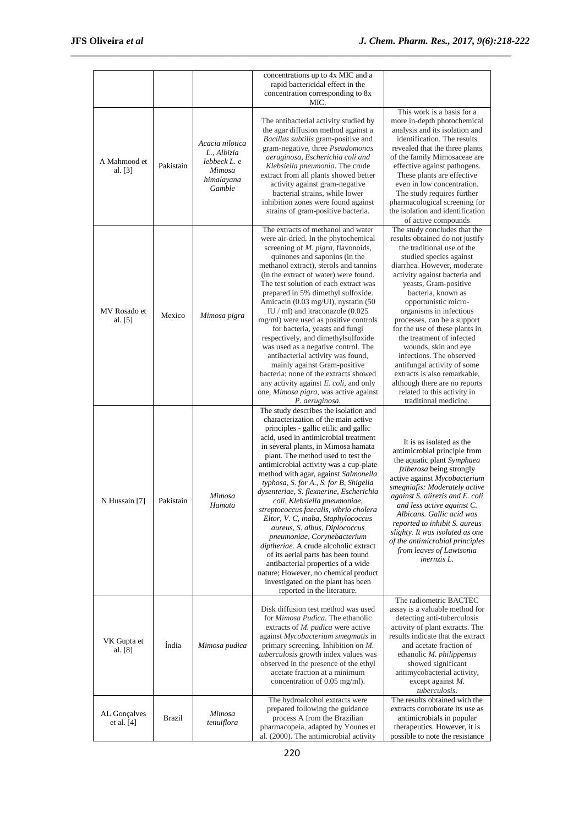|                            |           |                                                                                  | concentrations up to 4x MIC and a<br>rapid bactericidal effect in the<br>concentration corresponding to 8x<br>MIC.                                                                                                                                                                                                                                                                                                                                                                                                                                                                                                                                                                                                                                                                                                                   |                                                                                                                                                                                                                                                                                                                                                                                                                                                                                                                                                                                                      |
|----------------------------|-----------|----------------------------------------------------------------------------------|--------------------------------------------------------------------------------------------------------------------------------------------------------------------------------------------------------------------------------------------------------------------------------------------------------------------------------------------------------------------------------------------------------------------------------------------------------------------------------------------------------------------------------------------------------------------------------------------------------------------------------------------------------------------------------------------------------------------------------------------------------------------------------------------------------------------------------------|------------------------------------------------------------------------------------------------------------------------------------------------------------------------------------------------------------------------------------------------------------------------------------------------------------------------------------------------------------------------------------------------------------------------------------------------------------------------------------------------------------------------------------------------------------------------------------------------------|
| A Mahmood et<br>al. $[3]$  | Pakistain | Acacia nilotica<br>L., Albizia<br>lebbeck L. e<br>Mimosa<br>himalayana<br>Gamble | The antibacterial activity studied by<br>the agar diffusion method against a<br>Bacillus subtilis gram-positive and<br>gram-negative, three Pseudomonas<br>aeruginosa, Escherichia coli and<br>Klebsiella pneumonia. The crude<br>extract from all plants showed better<br>activity against gram-negative<br>bacterial strains, while lower<br>inhibition zones were found against<br>strains of gram-positive bacteria.                                                                                                                                                                                                                                                                                                                                                                                                             | This work is a basis for a<br>more in-depth photochemical<br>analysis and its isolation and<br>identification. The results<br>revealed that the three plants<br>of the family Mimosaceae are<br>effective against pathogens.<br>These plants are effective<br>even in low concentration.<br>The study requires further<br>pharmacological screening for<br>the isolation and identification<br>of active compounds                                                                                                                                                                                   |
| MV Rosado et<br>al. [5]    | Mexico    | Mimosa pigra                                                                     | The extracts of methanol and water<br>were air-dried. In the phytochemical<br>screening of <i>M. pigra</i> , flavonoids,<br>quinones and saponins (in the<br>methanol extract), sterols and tannins<br>(in the extract of water) were found.<br>The test solution of each extract was<br>prepared in 5% dimethyl sulfoxide.<br>Amicacin (0.03 mg/UI), nystatin (50<br>IU / ml) and itraconazole $(0.025)$<br>mg/ml) were used as positive controls<br>for bacteria, yeasts and fungi<br>respectively, and dimethylsulfoxide<br>was used as a negative control. The<br>antibacterial activity was found,<br>mainly against Gram-positive<br>bacteria; none of the extracts showed<br>any activity against E. coli, and only<br>one, Mimosa pigra, was active against<br>P. aeruginosa.                                                | The study concludes that the<br>results obtained do not justify<br>the traditional use of the<br>studied species against<br>diarrhea. However, moderate<br>activity against bacteria and<br>yeasts, Gram-positive<br>bacteria, known as<br>opportunistic micro-<br>organisms in infectious<br>processes, can be a support<br>for the use of these plants in<br>the treatment of infected<br>wounds, skin and eye<br>infections. The observed<br>antifungal activity of some<br>extracts is also remarkable,<br>although there are no reports<br>related to this activity in<br>traditional medicine. |
| N Hussain [7]              | Pakistain | Mimosa<br>Hamata                                                                 | The study describes the isolation and<br>characterization of the main active<br>principles - gallic etilic and gallic<br>acid, used in antimicrobial treatment<br>in several plants, in Mimosa hamata<br>plant. The method used to test the<br>antimicrobial activity was a cup-plate<br>method with agar, against Salmonella<br>typhosa, S. for A., S. for B, Shigella<br>dysenteriae, S. flexnerine, Escherichia<br>coli, Klebsiella pneumoniae,<br>streptococcus faecalis, vibrio cholera<br>Eltor, V. C, inaba, Staphylococcus<br>aureus, S. albus, Diplococcus<br>pneumoniae, Corynebacterium<br>diptheriae. A crude alcoholic extract<br>of its aerial parts has been found<br>antibacterial properties of a wide<br>nature; However, no chemical product<br>investigated on the plant has been<br>reported in the literature. | It is as isolated as the<br>antimicrobial principle from<br>the aquatic plant Symphaea<br>fziberosa being strongly<br>active against Mycobacterium<br>smegniafis: Moderately active<br>against S. aiirezis and E. coli<br>and less active against C.<br>Albicans. Gallic acid was<br>reported to inhibit S. aureus<br>slighty. It was isolated as one<br>of the antimicrobial principles<br>from leaves of Lawtsonia<br>inernzis L.                                                                                                                                                                  |
| VK Gupta et<br>al. [8]     | Índia     | Mimosa pudica                                                                    | Disk diffusion test method was used<br>for <i>Mimosa Pudica</i> . The ethanolic<br>extracts of M. pudica were active<br>against Mycobacterium smegmatis in<br>primary screening. Inhibition on $M$ .<br>tuberculosis growth index values was<br>observed in the presence of the ethyl<br>acetate fraction at a minimum<br>concentration of 0.05 mg/ml).                                                                                                                                                                                                                                                                                                                                                                                                                                                                              | The radiometric BACTEC<br>assay is a valuable method for<br>detecting anti-tuberculosis<br>activity of plant extracts. The<br>results indicate that the extract<br>and acetate fraction of<br>ethanolic M. philippensis<br>showed significant<br>antimycobacterial activity,<br>except against $M$ .<br>tuberculosis.                                                                                                                                                                                                                                                                                |
| AL Gonçalves<br>et al. [4] | Brazil    | Mimosa<br>tenuiflora                                                             | The hydroalcohol extracts were<br>prepared following the guidance<br>process A from the Brazilian<br>pharmacopeia, adapted by Younes et<br>al. (2000). The antimicrobial activity                                                                                                                                                                                                                                                                                                                                                                                                                                                                                                                                                                                                                                                    | The results obtained with the<br>extracts corroborate its use as<br>antimicrobials in popular<br>therapeutics. However, it is<br>possible to note the resistance                                                                                                                                                                                                                                                                                                                                                                                                                                     |

\_\_\_\_\_\_\_\_\_\_\_\_\_\_\_\_\_\_\_\_\_\_\_\_\_\_\_\_\_\_\_\_\_\_\_\_\_\_\_\_\_\_\_\_\_\_\_\_\_\_\_\_\_\_\_\_\_\_\_\_\_\_\_\_\_\_\_\_\_\_\_\_\_\_\_\_\_\_\_\_\_\_\_\_\_\_\_\_\_\_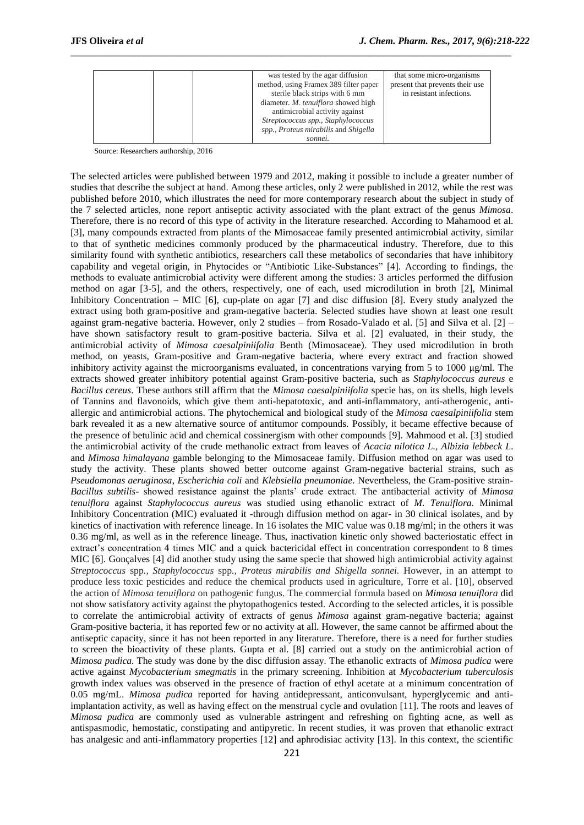|  | was tested by the agar diffusion<br>method, using Framex 389 filter paper<br>sterile black strips with 6 mm<br>diameter. M. tenuiflora showed high<br>antimicrobial activity against<br>Streptococcus spp., Staphylococcus<br>spp., Proteus mirabilis and Shigella<br>sonnei. | that some micro-organisms<br>present that prevents their use<br>in resistant infections. |
|--|-------------------------------------------------------------------------------------------------------------------------------------------------------------------------------------------------------------------------------------------------------------------------------|------------------------------------------------------------------------------------------|
|--|-------------------------------------------------------------------------------------------------------------------------------------------------------------------------------------------------------------------------------------------------------------------------------|------------------------------------------------------------------------------------------|

\_\_\_\_\_\_\_\_\_\_\_\_\_\_\_\_\_\_\_\_\_\_\_\_\_\_\_\_\_\_\_\_\_\_\_\_\_\_\_\_\_\_\_\_\_\_\_\_\_\_\_\_\_\_\_\_\_\_\_\_\_\_\_\_\_\_\_\_\_\_\_\_\_\_\_\_\_\_\_\_\_\_\_\_\_\_\_\_\_\_

Source: Researchers authorship, 2016

The selected articles were published between 1979 and 2012, making it possible to include a greater number of studies that describe the subject at hand. Among these articles, only 2 were published in 2012, while the rest was published before 2010, which illustrates the need for more contemporary research about the subject in study of the 7 selected articles, none report antiseptic activity associated with the plant extract of the genus *Mimosa*. Therefore, there is no record of this type of activity in the literature researched. According to Mahamood et al. [3], many compounds extracted from plants of the Mimosaceae family presented antimicrobial activity, similar to that of synthetic medicines commonly produced by the pharmaceutical industry. Therefore, due to this similarity found with synthetic antibiotics, researchers call these metabolics of secondaries that have inhibitory capability and vegetal origin, in Phytocides or "Antibiotic Like-Substances" [4]. According to findings, the methods to evaluate antimicrobial activity were different among the studies: 3 articles performed the diffusion method on agar [3-5], and the others, respectively, one of each, used microdilution in broth [2], Minimal Inhibitory Concentration – MIC [6], cup-plate on agar [7] and disc diffusion [8]. Every study analyzed the extract using both gram-positive and gram-negative bacteria. Selected studies have shown at least one result against gram-negative bacteria. However, only 2 studies – from Rosado-Valado et al. [5] and Silva et al. [2] – have shown satisfactory result to gram-positive bacteria. Silva et al. [2] evaluated, in their study, the antimicrobial activity of *Mimosa caesalpiniifolia* Benth (Mimosaceae). They used microdilution in broth method, on yeasts, Gram-positive and Gram-negative bacteria, where every extract and fraction showed inhibitory activity against the microorganisms evaluated, in concentrations varying from 5 to 1000 μg/ml. The extracts showed greater inhibitory potential against Gram-positive bacteria, such as *Staphylococcus aureus* e *Bacillus cereus*. These authors still affirm that the *Mimosa caesalpiniifolia* specie has, on its shells, high levels of Tannins and flavonoids, which give them anti-hepatotoxic, and anti-inflammatory, anti-atherogenic, antiallergic and antimicrobial actions. The phytochemical and biological study of the *Mimosa caesalpiniifolia* stem bark revealed it as a new alternative source of antitumor compounds. Possibly, it became effective because of the presence of betulinic acid and chemical cossinergism with other compounds [9]. Mahmood et al. [3] studied the antimicrobial activity of the crude methanolic extract from leaves of *Acacia nilotica L., Albizia lebbeck L*. and *Mimosa himalayana* gamble belonging to the Mimosaceae family. Diffusion method on agar was used to study the activity. These plants showed better outcome against Gram-negative bacterial strains, such as *Pseudomonas aeruginosa*, *Escherichia coli* and *Klebsiella pneumoniae*. Nevertheless, the Gram-positive strain-*Bacillus subtilis*- showed resistance against the plants' crude extract. The antibacterial activity of *Mimosa tenuiflora* against *Staphylococcus aureus* was studied using ethanolic extract of *M. Tenuiflora.* Minimal Inhibitory Concentration (MIC) evaluated it -through diffusion method on agar- in 30 clinical isolates, and by kinetics of inactivation with reference lineage. In 16 isolates the MIC value was 0.18 mg/ml; in the others it was 0.36 mg/ml, as well as in the reference lineage. Thus, inactivation kinetic only showed bacteriostatic effect in extract's concentration 4 times MIC and a quick bactericidal effect in concentration correspondent to 8 times MIC [6]. Gonçalves [4] did another study using the same specie that showed high antimicrobial activity against *Streptococcus* spp*., Staphylococcus* spp*., Proteus mirabilis and Shigella sonnei.* However, in an attempt to produce less toxic pesticides and reduce the chemical products used in agriculture, Torre et al. [10], observed the action of *Mimosa tenuiflora* on pathogenic fungus. The commercial formula based on *Mimosa tenuiflora* did not show satisfatory activity against the phytopathogenics tested. According to the selected articles, it is possible to correlate the antimicrobial activity of extracts of genus *Mimosa* against gram-negative bacteria; against Gram-positive bacteria, it has reported few or no activity at all. However, the same cannot be affirmed about the antiseptic capacity, since it has not been reported in any literature. Therefore, there is a need for further studies to screen the bioactivity of these plants. Gupta et al. [8] carried out a study on the antimicrobial action of *Mimosa pudica.* The study was done by the disc diffusion assay. The ethanolic extracts of *Mimosa pudica* were active against *Mycobacterium smegmatis* in the primary screening. Inhibition at *Mycobacterium tuberculosis* growth index values was observed in the presence of fraction of ethyl acetate at a minimum concentration of 0.05 mg/mL. *Mimosa pudica* reported for having antidepressant, anticonvulsant, hyperglycemic and antiimplantation activity, as well as having effect on the menstrual cycle and ovulation [11]. The roots and leaves of *Mimosa pudica* are commonly used as vulnerable astringent and refreshing on fighting acne, as well as antispasmodic, hemostatic, constipating and antipyretic. In recent studies, it was proven that ethanolic extract has analgesic and anti-inflammatory properties [12] and aphrodisiac activity [13]. In this context, the scientific